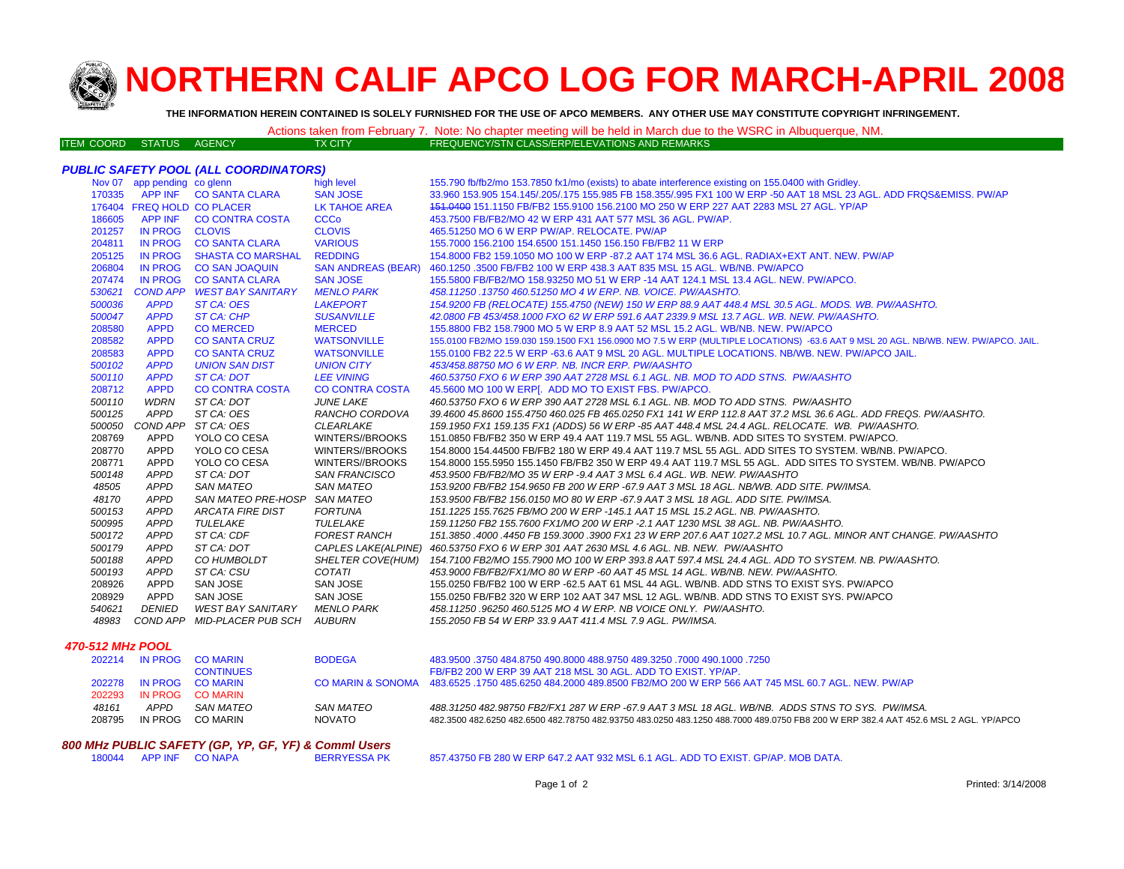

# **NORTHERN CALIF APCO LOG FOR MARCH-APRIL 200 8**

**THE INFORMATION HEREIN CONTAINED IS SOLELY FURNISHED FOR THE USE OF APCO MEMBERS. ANY OTHER USE MAY CONSTITUTE COPYRIGHT INFRINGEMENT.**

|                          |  |                | Actions taken from February 7. Note: No chapter meeting will be held in March due to the WSRC in Albuquerque, NM. |
|--------------------------|--|----------------|-------------------------------------------------------------------------------------------------------------------|
| ITEM COORD STATUS AGENCY |  | <b>TX CITY</b> | FREQUENCY/STN CLASS/ERP/ELEVATIONS AND REMARKS \                                                                  |

## *PUBLIC SAFETY POOL (ALL COORDINATORS)*

|        | Nov 07 app pending co glenn |                                    | high level             | 155.790 fb/fb2/mo 153.7850 fx1/mo (exists) to abate interference existing on 155.0400 with Gridley.                                |
|--------|-----------------------------|------------------------------------|------------------------|------------------------------------------------------------------------------------------------------------------------------------|
| 170335 | <b>APP INF</b>              | <b>CO SANTA CLARA</b>              | <b>SAN JOSE</b>        | 33.960 153.905 154.145/.205/.175 155.985 FB 158.355/.995 FX1 100 W ERP -50 AAT 18 MSL 23 AGL. ADD FRQS&EMISS, PW/AP                |
|        | 176404 FREQ HOLD CO PLACER  |                                    | <b>LK TAHOE AREA</b>   | 451,0400 151,1150 FB/FB2 155,9100 156,2100 MO 250 W ERP 227 AAT 2283 MSL 27 AGL, YP/AP                                             |
| 186605 | <b>APP INF</b>              | <b>CO CONTRA COSTA</b>             | <b>CCCo</b>            | 453.7500 FB/FB2/MO 42 W ERP 431 AAT 577 MSL 36 AGL, PW/AP.                                                                         |
| 201257 | <b>IN PROG</b>              | <b>CLOVIS</b>                      | <b>CLOVIS</b>          | 465.51250 MO 6 W ERP PW/AP, RELOCATE, PW/AP                                                                                        |
| 204811 | <b>IN PROG</b>              | <b>CO SANTA CLARA</b>              | <b>VARIOUS</b>         | 155.7000 156.2100 154.6500 151.1450 156.150 FB/FB2 11 W ERP                                                                        |
| 205125 | <b>IN PROG</b>              | <b>SHASTA CO MARSHAL</b>           | <b>REDDING</b>         | 154.8000 FB2 159.1050 MO 100 W ERP -87.2 AAT 174 MSL 36.6 AGL. RADIAX+EXT ANT. NEW. PW/AP                                          |
| 206804 | <b>IN PROG</b>              | <b>CO SAN JOAQUIN</b>              |                        | SAN ANDREAS (BEAR) 460.1250 .3500 FB/FB2 100 W ERP 438.3 AAT 835 MSL 15 AGL. WB/NB. PW/APCO                                        |
| 207474 | <b>IN PROG</b>              | <b>CO SANTA CLARA</b>              | <b>SAN JOSE</b>        | 155.5800 FB/FB2/MO 158.93250 MO 51 W ERP -14 AAT 124.1 MSL 13.4 AGL. NEW. PW/APCO.                                                 |
| 530621 |                             | COND APP WEST BAY SANITARY         | <b>MENLO PARK</b>      | 458.11250.13750 460.51250 MO 4 W ERP. NB. VOICE. PW/AASHTO.                                                                        |
| 500036 | <b>APPD</b>                 | ST CA: OES                         | <b>LAKEPORT</b>        | 154.9200 FB (RELOCATE) 155.4750 (NEW) 150 W ERP 88.9 AAT 448.4 MSL 30.5 AGL. MODS. WB. PW/AASHTO.                                  |
| 500047 | <b>APPD</b>                 | <b>ST CA: CHP</b>                  | <b>SUSANVILLE</b>      | 42.0800 FB 453/458.1000 FXO 62 W ERP 591.6 AAT 2339.9 MSL 13.7 AGL, WB, NEW, PW/AASHTO,                                            |
| 208580 | <b>APPD</b>                 | <b>CO MERCED</b>                   | <b>MERCED</b>          | 155.8800 FB2 158.7900 MO 5 W ERP 8.9 AAT 52 MSL 15.2 AGL. WB/NB. NEW. PW/APCO                                                      |
| 208582 | <b>APPD</b>                 | <b>CO SANTA CRUZ</b>               | <b>WATSONVILLE</b>     | 155.0100 FB2/MO 159.030 159.1500 FX1 156.0900 MO 7.5 W ERP (MULTIPLE LOCATIONS) -63.6 AAT 9 MSL 20 AGL. NB/WB. NEW. PW/APCO. JAIL. |
| 208583 | <b>APPD</b>                 | <b>CO SANTA CRUZ</b>               | <b>WATSONVILLE</b>     | 155.0100 FB2 22.5 W ERP -63.6 AAT 9 MSL 20 AGL. MULTIPLE LOCATIONS. NB/WB. NEW. PW/APCO JAIL.                                      |
| 500102 | <b>APPD</b>                 | <b>UNION SAN DIST</b>              | <b>UNION CITY</b>      | 453/458,88750 MO 6 W ERP. NB. INCR ERP. PW/AASHTO                                                                                  |
| 500110 | <b>APPD</b>                 | <b>ST CA: DOT</b>                  | <b>LEE VINING</b>      | 460.53750 FXO 6 W ERP 390 AAT 2728 MSL 6.1 AGL. NB. MOD TO ADD STNS. PW/AASHTO                                                     |
| 208712 | <b>APPD</b>                 | <b>CO CONTRA COSTA</b>             | <b>CO CONTRA COSTA</b> | 45.5600 MO 100 W ERP[. ADD MO TO EXIST FBS. PW/APCO.                                                                               |
| 500110 | <b>WDRN</b>                 | ST CA: DOT                         | <b>JUNE LAKE</b>       | 460.53750 FXO 6 W ERP 390 AAT 2728 MSL 6.1 AGL. NB. MOD TO ADD STNS. PW/AASHTO                                                     |
| 500125 | APPD                        | ST CA: OES                         | RANCHO CORDOVA         | 39.4600 45.8600 155.4750 460.025 FB 465.0250 FX1 141 W ERP 112.8 AAT 37.2 MSL 36.6 AGL. ADD FREQS. PW/AASHTO.                      |
| 500050 |                             | COND APP ST CA: OES                | <b>CLEARLAKE</b>       | 159.1950 FX1 159.135 FX1 (ADDS) 56 W ERP -85 AAT 448.4 MSL 24.4 AGL. RELOCATE. WB. PW/AASHTO.                                      |
| 208769 | APPD                        | YOLO CO CESA                       | WINTERS//BROOKS        | 151.0850 FB/FB2 350 W ERP 49.4 AAT 119.7 MSL 55 AGL. WB/NB. ADD SITES TO SYSTEM. PW/APCO.                                          |
| 208770 | APPD                        | YOLO CO CESA                       | WINTERS//BROOKS        | 154.8000 154.44500 FB/FB2 180 W ERP 49.4 AAT 119.7 MSL 55 AGL. ADD SITES TO SYSTEM. WB/NB. PW/APCO.                                |
| 208771 | <b>APPD</b>                 | YOLO CO CESA                       | WINTERS//BROOKS        | 154.8000 155.5950 155.1450 FB/FB2 350 W ERP 49.4 AAT 119.7 MSL 55 AGL. ADD SITES TO SYSTEM. WB/NB. PW/APCO                         |
| 500148 | <b>APPD</b>                 | ST CA: DOT                         | <b>SAN FRANCISCO</b>   | 453.9500 FB/FB2/MO 35 W ERP -9.4 AAT 3 MSL 6.4 AGL. WB. NEW. PW/AASHTO                                                             |
| 48505  | <b>APPD</b>                 | <b>SAN MATEO</b>                   | <b>SAN MATEO</b>       | 153.9200 FB/FB2 154.9650 FB 200 W ERP -67.9 AAT 3 MSL 18 AGL. NB/WB. ADD SITE. PW/IMSA.                                            |
| 48170  | <b>APPD</b>                 | SAN MATEO PRE-HOSP SAN MATEO       |                        | 153.9500 FB/FB2 156.0150 MO 80 W ERP -67.9 AAT 3 MSL 18 AGL. ADD SITE. PW/IMSA.                                                    |
| 500153 | <b>APPD</b>                 | <b>ARCATA FIRE DIST</b>            | <b>FORTUNA</b>         | 151.1225 155.7625 FB/MO 200 W ERP -145.1 AAT 15 MSL 15.2 AGL. NB. PW/AASHTO.                                                       |
| 500995 | <b>APPD</b>                 | <b>TULELAKE</b>                    | TULELAKE               | 159.11250 FB2 155.7600 FX1/MO 200 W ERP -2.1 AAT 1230 MSL 38 AGL. NB. PW/AASHTO.                                                   |
| 500172 | <b>APPD</b>                 | ST CA: CDF                         | <b>FOREST RANCH</b>    | 151.3850 .4000 .4450 FB 159.3000 .3900 FX1 23 W ERP 207.6 AAT 1027.2 MSL 10.7 AGL. MINOR ANT CHANGE. PW/AASHTO                     |
| 500179 | <b>APPD</b>                 | ST CA: DOT                         |                        | CAPLES LAKE(ALPINE) 460.53750 FXO 6 W ERP 301 AAT 2630 MSL 4.6 AGL. NB. NEW. PW/AASHTO                                             |
| 500188 | <b>APPD</b>                 | CO HUMBOLDT                        |                        | SHELTER COVE(HUM) 154.7100 FB2/MO 155.7900 MO 100 W ERP 393.8 AAT 597.4 MSL 24.4 AGL. ADD TO SYSTEM. NB. PW/AASHTO.                |
| 500193 | <b>APPD</b>                 | ST CA: CSU                         | <b>COTATI</b>          | 453.9000 FB/FB2/FX1/MO 80 W ERP -60 AAT 45 MSL 14 AGL. WB/NB. NEW. PW/AASHTO.                                                      |
| 208926 | <b>APPD</b>                 | SAN JOSE                           | SAN JOSE               | 155.0250 FB/FB2 100 W ERP -62.5 AAT 61 MSL 44 AGL. WB/NB. ADD STNS TO EXIST SYS. PW/APCO                                           |
| 208929 | APPD                        | SAN JOSE                           | SAN JOSE               | 155.0250 FB/FB2 320 W ERP 102 AAT 347 MSL 12 AGL. WB/NB. ADD STNS TO EXIST SYS. PW/APCO                                            |
| 540621 | <b>DENIED</b>               | WEST BAY SANITARY MENLO PARK       |                        | 458.11250.96250 460.5125 MO 4 W ERP. NB VOICE ONLY. PW/AASHTO.                                                                     |
| 48983  |                             | COND APP MID-PLACER PUB SCH AUBURN |                        | 155.2050 FB 54 W ERP 33.9 AAT 411.4 MSL 7.9 AGL. PW/IMSA.                                                                          |
|        |                             |                                    |                        |                                                                                                                                    |

#### *470-512 MHz POOL*

| 202214 |             | IN PROG COMARIN  | <b>BODEGA</b> | 483.9500 .3750 484.8750 490.8000 488.9750 489.3250 .7000 490.1000 .7250                                                             |
|--------|-------------|------------------|---------------|-------------------------------------------------------------------------------------------------------------------------------------|
|        |             | <b>CONTINUES</b> |               | FB/FB2 200 W ERP 39 AAT 218 MSL 30 AGL. ADD TO EXIST, YP/AP.                                                                        |
| 202278 |             | IN PROG COMARIN  |               | CO MARIN & SONOMA 483,6525, 1750 485,6250 484,2000 489,8500 FB2/MO 200 W ERP 566 AAT 745 MSL 60.7 AGL. NEW, PW/AP                   |
| 202293 |             | IN PROG CO MARIN |               |                                                                                                                                     |
| 48161  | <b>APPD</b> | SAN MATEO        | SAN MATEO     | 488.31250 482.98750 FB2/FX1 287 W ERP -67.9 AAT 3 MSL 18 AGL, WB/NB, ADDS STNS TO SYS, PW/IMSA.                                     |
| 208795 | IN PROG     | CO MARIN         | <b>NOVATO</b> | 482.3500 482.6250 482.6500 482.78750 482.93750 483.0250 483.1250 488.7000 489.0750 FB8 200 W ERP 382.4 AAT 452.6 MSL 2 AGL. YP/APCO |
|        |             |                  |               |                                                                                                                                     |

# *800 MHz PUBLIC SAFETY (GP, YP, GF, YF) & Comml Users*

857.43750 FB 280 W ERP 647.2 AAT 932 MSL 6.1 AGL. ADD TO EXIST. GP/AP. MOB DATA.